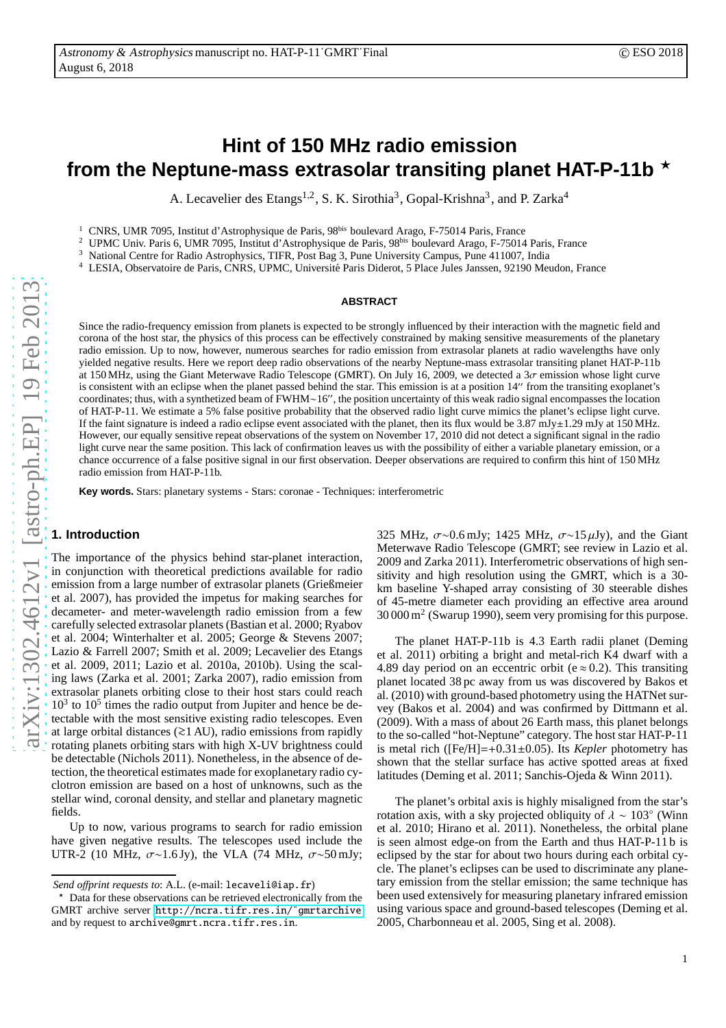A. Lecavelier des Etangs<sup>1,2</sup>, S. K. Sirothia<sup>3</sup>, Gopal-Krishna<sup>3</sup>, and P. Zarka<sup>4</sup>

<sup>1</sup> CNRS, UMR 7095, Institut d'Astrophysique de Paris, 98<sup>bis</sup> boulevard Arago, F-75014 Paris, France<br><sup>2</sup> UDMC Univ. Paris 6, UMP 7005, Institut d'Astrophysique de Paris, 08<sup>bis</sup> boulevard Arago, E 75014

<sup>2</sup> UPMC Univ. Paris 6, UMR 7095, Institut d'Astrophysique de Paris, 98<sup>bis</sup> boulevard Arago, F-75014 Paris, France  $\frac{3}{2}$  National Contra for Badio Astrophysique TIER, Bost Bag 3, Para University Compus, Para 411007,

<sup>3</sup> National Centre for Radio Astrophysics, TIFR, Post Bag 3, Pune University Campus, Pune 411007, India

LESIA, Observatoire de Paris, CNRS, UPMC, Université Paris Diderot, 5 Place Jules Janssen, 92190 Meudon, France

## **ABSTRACT**

Since the radio-frequency emission from planets is expected to be strongly influenced by their interaction with the magnetic field and corona of the host star, the physics of this process can be effectively constrained by making sensitive measurements of the planetary radio emission. Up to now, however, numerous searches for radio emission from extrasolar planets at radio wavelengths have only yielded negative results. Here we report deep radio observations of the nearby Neptune-mass extrasolar transiting planet HAT-P-11b at 150 MHz, using the Giant Meterwave Radio Telescope (GMRT). On July 16, 2009, we detected a 3σ emission whose light curve is consistent with an eclipse when the planet passed behind the star. This emission is at a position 14′′ from the transiting exoplanet's coordinates; thus, with a synthetized beam of FWHM∼16′′, the position uncertainty of this weak radio signal encompasses the location of HAT-P-11. We estimate a 5% false positive probability that the observed radio light curve mimics the planet's eclipse light curve. If the faint signature is indeed a radio eclipse event associated with the planet, then its flux would be  $3.87 \text{ mJy±}1.29 \text{ mJy}$  at  $150 \text{ MHz}$ . However, our equally sensitive repeat observations of the system on November 17, 2010 did not detect a significant signal in the radio light curve near the same position. This lack of confirmation leaves us with the possibility of either a variable planetary emission, or a chance occurrence of a false positive signal in our first observation. Deeper observations are required to confirm this hint of 150 MHz radio emission from HAT-P-11b.

**Key words.** Stars: planetary systems - Stars: coronae - Techniques: interferometric

# **1. Introduction**

The importance of the physics behind star-planet interaction, in conjunction with theoretical predictions available for radio emission from a large number of extrasolar planets (Grießmeier et al. 2007), has provided the impetus for making searches for decameter- and meter-wavelength radio emission from a few carefully selected extrasolar planets (Bastian et al. 2000; Ryabov et al. 2004; Winterhalter et al. 2005; George & Stevens 2007; Lazio & Farrell 2007; Smith et al. 2009; Lecavelier des Etangs et al. 2009, 2011; Lazio et al. 2010a, 2010b). Using the scaling laws (Zarka et al. 2001; Zarka 2007), radio emission from extrasolar planets orbiting close to their host stars could reach 10<sup>3</sup> to 10<sup>5</sup> times the radio output from Jupiter and hence be detectable with the most sensitive existing radio telescopes. Even at large orbital distances (>∼1 AU), radio emissions from rapidly rotating planets orbiting stars with high X-UV brightness could be detectable (Nichols 2011). Nonetheless, in the absence of detection, the theoretical estimates made for exoplanetary radio cyclotron emission are based on a host of unknowns, such as the stellar wind, coronal density, and stellar and planetary magnetic fields.

Up to now, various programs to search for radio emission have given negative results. The telescopes used include the UTR-2 (10 MHz,  $\sigma \sim 1.6$  Jy), the VLA (74 MHz,  $\sigma \sim 50$  mJy; 325 MHz,  $\sigma \sim 0.6$  mJy; 1425 MHz,  $\sigma \sim 15 \mu$ Jy), and the Giant Meterwave Radio Telescope (GMRT; see review in Lazio et al. 2009 and Zarka 2011). Interferometric observations of high sensitivity and high resolution using the GMRT, which is a 30 km baseline Y-shaped array consisting of 30 steerable dishes of 45-metre diameter each providing an effective area around 30 000 m<sup>2</sup> (Swarup 1990), seem very promising for this purpose.

The planet HAT-P-11b is 4.3 Earth radii planet (Deming et al. 2011) orbiting a bright and metal-rich K4 dwarf with a 4.89 day period on an eccentric orbit (e  $\approx$  0.2). This transiting planet located 38 pc away from us was discovered by Bakos et al. (2010) with ground-based photometry using the HATNet survey (Bakos et al. 2004) and was confirmed by Dittmann et al. (2009). With a mass of about 26 Earth mass, this planet belongs to the so-called "hot-Neptune" category. The host star HAT-P-11 is metal rich ([Fe/H]=+0.31±0.05). Its *Kepler* photometry has shown that the stellar surface has active spotted areas at fixed latitudes (Deming et al. 2011; Sanchis-Ojeda & Winn 2011).

The planet's orbital axis is highly misaligned from the star's rotation axis, with a sky projected obliquity of  $\lambda \sim 103^\circ$  (Winn et al. 2010; Hirano et al. 2011). Nonetheless, the orbital plane is seen almost edge-on from the Earth and thus HAT-P-11 b is eclipsed by the star for about two hours during each orbital cycle. The planet's eclipses can be used to discriminate any planetary emission from the stellar emission; the same technique has been used extensively for measuring planetary infrared emission using various space and ground-based telescopes (Deming et al. 2005, Charbonneau et al. 2005, Sing et al. 2008).

*Send o*ff*print requests to*: A.L. (e-mail: lecaveli@iap.fr)

Data for these observations can be retrieved electronically from the GMRT archive server [http://ncra.tifr.res.in/˜gmrtarchive](http://ncra.tifr.res.in/~gmrtarchive) and by request to archive@gmrt.ncra.tifr.res.in.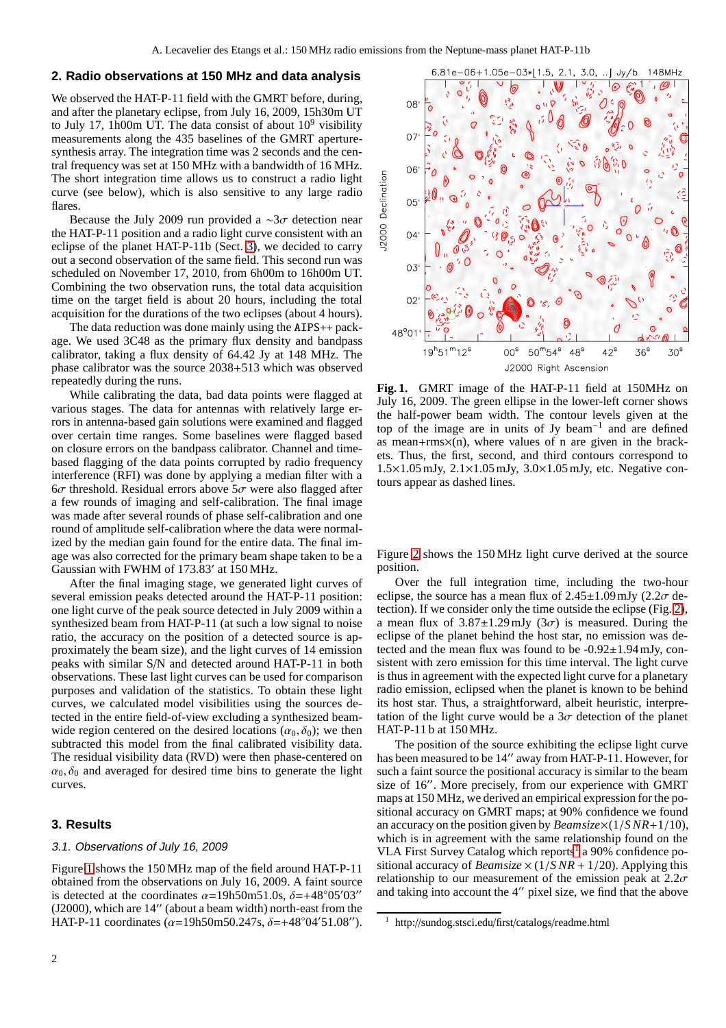# **2. Radio observations at 150 MHz and data analysis**

We observed the HAT-P-11 field with the GMRT before, during, and after the planetary eclipse, from July 16, 2009, 15h30m UT to July 17, 1h00m UT. The data consist of about  $10^9$  visibility measurements along the 435 baselines of the GMRT aperturesynthesis array. The integration time was 2 seconds and the central frequency was set at 150 MHz with a bandwidth of 16 MHz. The short integration time allows us to construct a radio light curve (see below), which is also sensitive to any large radio flares.

Because the July 2009 run provided a ∼3σ detection near the HAT-P-11 position and a radio light curve consistent with an eclipse of the planet HAT-P-11b (Sect. [3\)](#page-1-0), we decided to carry out a second observation of the same field. This second run was scheduled on November 17, 2010, from 6h00m to 16h00m UT. Combining the two observation runs, the total data acquisition time on the target field is about 20 hours, including the total acquisition for the durations of the two eclipses (about 4 hours).

The data reduction was done mainly using the AIPS++ package. We used 3C48 as the primary flux density and bandpass calibrator, taking a flux density of 64.42 Jy at 148 MHz. The phase calibrator was the source 2038+513 which was observed repeatedly during the runs.

While calibrating the data, bad data points were flagged at various stages. The data for antennas with relatively large errors in antenna-based gain solutions were examined and flagged over certain time ranges. Some baselines were flagged based on closure errors on the bandpass calibrator. Channel and timebased flagging of the data points corrupted by radio frequency interference (RFI) was done by applying a median filter with a  $6\sigma$  threshold. Residual errors above  $5\sigma$  were also flagged after a few rounds of imaging and self-calibration. The final image was made after several rounds of phase self-calibration and one round of amplitude self-calibration where the data were normalized by the median gain found for the entire data. The final image was also corrected for the primary beam shape taken to be a Gaussian with FWHM of 173.83′ at 150 MHz.

After the final imaging stage, we generated light curves of several emission peaks detected around the HAT-P-11 position: one light curve of the peak source detected in July 2009 within a synthesized beam from HAT-P-11 (at such a low signal to noise ratio, the accuracy on the position of a detected source is approximately the beam size), and the light curves of 14 emission peaks with similar S/N and detected around HAT-P-11 in both observations. These last light curves can be used for comparison purposes and validation of the statistics. To obtain these light curves, we calculated model visibilities using the sources detected in the entire field-of-view excluding a synthesized beamwide region centered on the desired locations  $(\alpha_0, \delta_0)$ ; we then subtracted this model from the final calibrated visibility data. The residual visibility data (RVD) were then phase-centered on  $\alpha_0$ ,  $\delta_0$  and averaged for desired time bins to generate the light curves.

# <span id="page-1-3"></span><span id="page-1-0"></span>**3. Results**

#### 3.1. Observations of July 16, <sup>2009</sup>

Figure [1](#page-1-1) shows the 150 MHz map of the field around HAT-P-11 obtained from the observations on July 16, 2009. A faint source is detected at the coordinates  $\alpha$ =19h50m51.0s,  $\delta$ =+48°05′03″ (J2000), which are 14′′ (about a beam width) north-east from the HAT-P-11 coordinates ( $\alpha$ =19h50m50.247s,  $\delta$ =+48°04′51.08″).



<span id="page-1-1"></span>**Fig. 1.** GMRT image of the HAT-P-11 field at 150MHz on July 16, 2009. The green ellipse in the lower-left corner shows the half-power beam width. The contour levels given at the top of the image are in units of Jy beam−<sup>1</sup> and are defined as mean+ $r$ ms $\times$ (n), where values of n are given in the brackets. Thus, the first, second, and third contours correspond to 1.5×1.05 mJy, 2.1×1.05 mJy, 3.0×1.05 mJy, etc. Negative contours appear as dashed lines.

Figure [2](#page-2-0) shows the 150 MHz light curve derived at the source position.

Over the full integration time, including the two-hour eclipse, the source has a mean flux of  $2.45\pm1.09$  mJy  $(2.2\sigma$  detection). If we consider only the time outside the eclipse (Fig. [2\)](#page-2-0), a mean flux of  $3.87 \pm 1.29$  mJy  $(3\sigma)$  is measured. During the eclipse of the planet behind the host star, no emission was detected and the mean flux was found to be -0.92±1.94 mJy, consistent with zero emission for this time interval. The light curve is thus in agreement with the expected light curve for a planetary radio emission, eclipsed when the planet is known to be behind its host star. Thus, a straightforward, albeit heuristic, interpretation of the light curve would be a  $3\sigma$  detection of the planet HAT-P-11 b at 150 MHz.

The position of the source exhibiting the eclipse light curve has been measured to be 14" away from HAT-P-11. However, for such a faint source the positional accuracy is similar to the beam size of 16′′. More precisely, from our experience with GMRT maps at 150 MHz, we derived an empirical expression for the positional accuracy on GMRT maps; at 90% confidence we found an accuracy on the position given by *Beamsize*×(1/*S NR*+1/10), which is in agreement with the same relationship found on the VLA First Survey Catalog which reports<sup>[1](#page-1-2)</sup> a 90% confidence positional accuracy of *Beamsize*  $\times$  (1/*SNR* + 1/20). Applying this relationship to our measurement of the emission peak at  $2.2\sigma$ and taking into account the 4′′ pixel size, we find that the above

<span id="page-1-2"></span><sup>1</sup> http://sundog.stsci.edu/first/catalogs/readme.html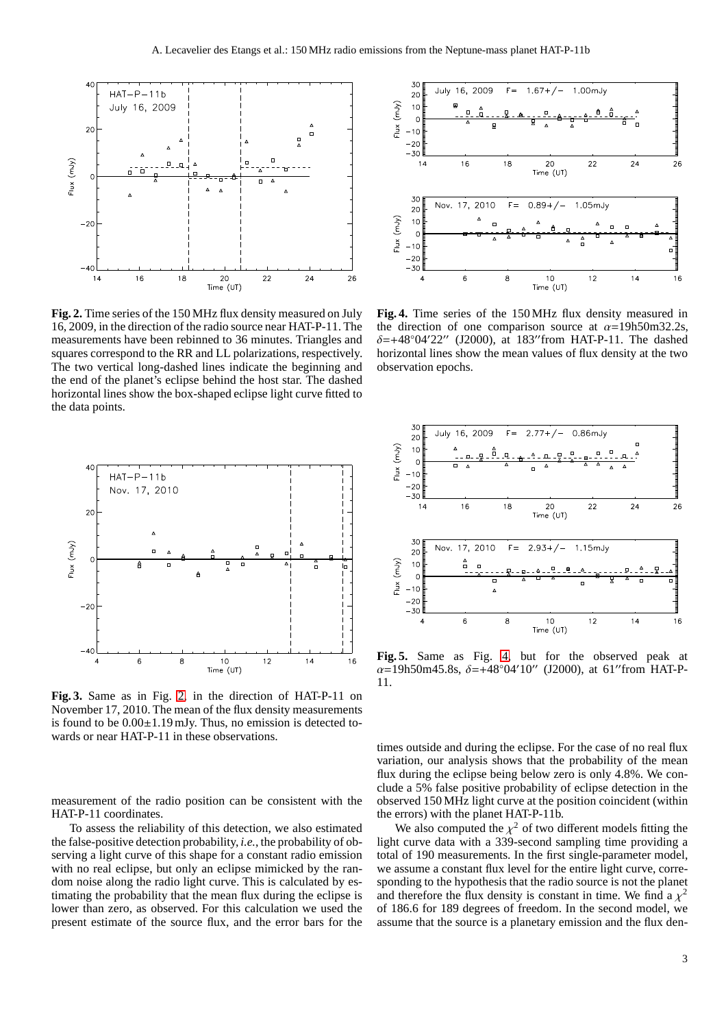

<span id="page-2-0"></span>**Fig. 2.** Time series of the 150 MHz flux density measured on July 16, 2009, in the direction of the radio source near HAT-P-11. The measurements have been rebinned to 36 minutes. Triangles and squares correspond to the RR and LL polarizations, respectively. The two vertical long-dashed lines indicate the beginning and the end of the planet's eclipse behind the host star. The dashed horizontal lines show the box-shaped eclipse light curve fitted to the data points.



**Fig. 3.** Same as in Fig. [2,](#page-2-0) in the direction of HAT-P-11 on November 17, 2010. The mean of the flux density measurements is found to be  $0.00\pm1.19$  mJy. Thus, no emission is detected towards or near HAT-P-11 in these observations.

measurement of the radio position can be consistent with the HAT-P-11 coordinates.

To assess the reliability of this detection, we also estimated the false-positive detection probability, *i.e.*, the probability of observing a light curve of this shape for a constant radio emission with no real eclipse, but only an eclipse mimicked by the random noise along the radio light curve. This is calculated by estimating the probability that the mean flux during the eclipse is lower than zero, as observed. For this calculation we used the present estimate of the source flux, and the error bars for the



<span id="page-2-1"></span>**Fig. 4.** Time series of the 150 MHz flux density measured in the direction of one comparison source at  $\alpha$ =19h50m32.2s,  $\delta = +48°04'22''$  (J2000), at 183″from HAT-P-11. The dashed horizontal lines show the mean values of flux density at the two observation epochs.



**Fig. 5.** Same as Fig. [4,](#page-2-1) but for the observed peak at  $\alpha$ =19h50m45.8s,  $\delta$ =+48°04'10″ (J2000), at 61″from HAT-P-11.

times outside and during the eclipse. For the case of no real flux variation, our analysis shows that the probability of the mean flux during the eclipse being below zero is only 4.8%. We conclude a 5% false positive probability of eclipse detection in the observed 150 MHz light curve at the position coincident (within the errors) with the planet HAT-P-11b.

We also computed the  $\chi^2$  of two different models fitting the light curve data with a 339-second sampling time providing a total of 190 measurements. In the first single-parameter model, we assume a constant flux level for the entire light curve, corresponding to the hypothesis that the radio source is not the planet and therefore the flux density is constant in time. We find a  $\chi^2$ of 186.6 for 189 degrees of freedom. In the second model, we assume that the source is a planetary emission and the flux den-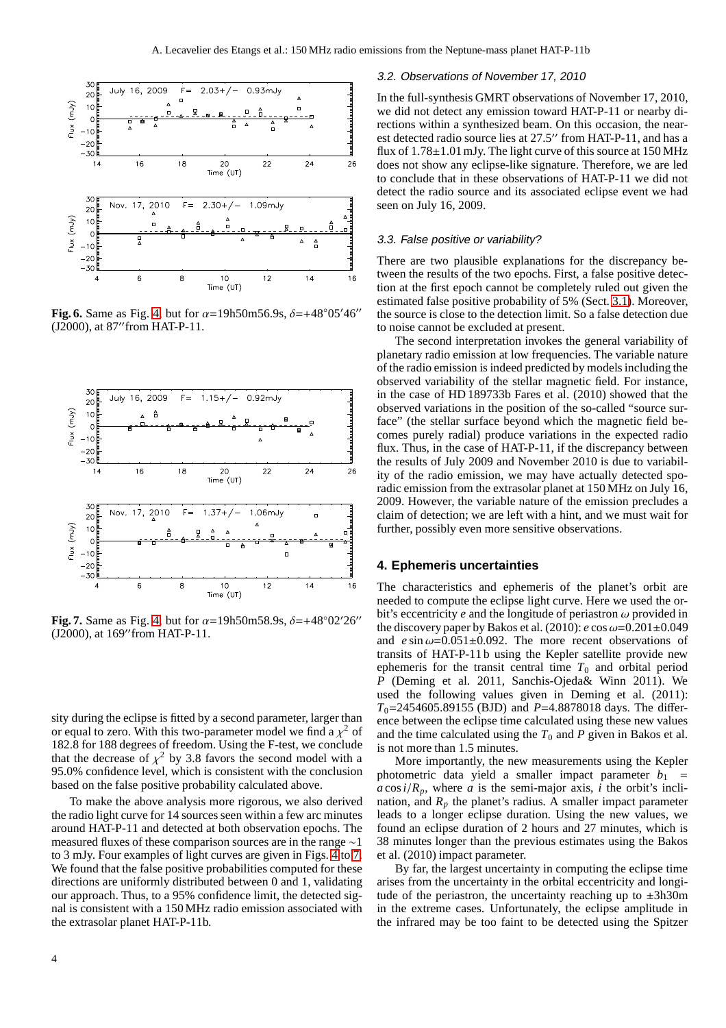

**Fig. 6.** Same as Fig. [4,](#page-2-1) but for  $\alpha = 19h50m56.9s$ ,  $\delta = +48°05'46''$ (J2000), at 87′′from HAT-P-11.



<span id="page-3-0"></span>**Fig. 7.** Same as Fig. [4,](#page-2-1) but for  $\alpha = 19h50m58.9s$ ,  $\delta = +48°02'26''$ (J2000), at 169′′from HAT-P-11.

sity during the eclipse is fitted by a second parameter, larger than or equal to zero. With this two-parameter model we find a  $\chi^2$  of 182.8 for 188 degrees of freedom. Using the F-test, we conclude that the decrease of  $\chi^2$  by 3.8 favors the second model with a 95.0% confidence level, which is consistent with the conclusion based on the false positive probability calculated above.

To make the above analysis more rigorous, we also derived the radio light curve for 14 sources seen within a few arc minutes around HAT-P-11 and detected at both observation epochs. The measured fluxes of these comparison sources are in the range ∼1 to 3 mJy. Four examples of light curves are given in Figs. [4](#page-2-1) to [7.](#page-3-0) We found that the false positive probabilities computed for these directions are uniformly distributed between 0 and 1, validating our approach. Thus, to a 95% confidence limit, the detected signal is consistent with a 150 MHz radio emission associated with the extrasolar planet HAT-P-11b.

#### 3.2. Observations of November 17, 2010

In the full-synthesis GMRT observations of November 17, 2010, we did not detect any emission toward HAT-P-11 or nearby directions within a synthesized beam. On this occasion, the nearest detected radio source lies at 27.5′′ from HAT-P-11, and has a flux of 1.78±1.01 mJy. The light curve of this source at 150 MHz does not show any eclipse-like signature. Therefore, we are led to conclude that in these observations of HAT-P-11 we did not detect the radio source and its associated eclipse event we had seen on July 16, 2009.

### 3.3. False positive or variability?

There are two plausible explanations for the discrepancy between the results of the two epochs. First, a false positive detection at the first epoch cannot be completely ruled out given the estimated false positive probability of 5% (Sect. [3.1\)](#page-1-3). Moreover, the source is close to the detection limit. So a false detection due to noise cannot be excluded at present.

The second interpretation invokes the general variability of planetary radio emission at low frequencies. The variable nature of the radio emission is indeed predicted by models including the observed variability of the stellar magnetic field. For instance, in the case of HD 189733b Fares et al. (2010) showed that the observed variations in the position of the so-called "source surface" (the stellar surface beyond which the magnetic field becomes purely radial) produce variations in the expected radio flux. Thus, in the case of HAT-P-11, if the discrepancy between the results of July 2009 and November 2010 is due to variability of the radio emission, we may have actually detected sporadic emission from the extrasolar planet at 150 MHz on July 16, 2009. However, the variable nature of the emission precludes a claim of detection; we are left with a hint, and we must wait for further, possibly even more sensitive observations.

## **4. Ephemeris uncertainties**

The characteristics and ephemeris of the planet's orbit are needed to compute the eclipse light curve. Here we used the orbit's eccentricity  $e$  and the longitude of periastron  $\omega$  provided in the discovery paper by Bakos et al.  $(2010)$ : *e* cos  $\omega$ =0.201 $\pm$ 0.049 and  $e \sin \omega = 0.051 \pm 0.092$ . The more recent observations of transits of HAT-P-11 b using the Kepler satellite provide new ephemeris for the transit central time  $T_0$  and orbital period *P* (Deming et al. 2011, Sanchis-Ojeda& Winn 2011). We used the following values given in Deming et al. (2011): *T*0=2454605.89155 (BJD) and *P*=4.8878018 days. The difference between the eclipse time calculated using these new values and the time calculated using the  $T_0$  and  $P$  given in Bakos et al. is not more than 1.5 minutes.

More importantly, the new measurements using the Kepler photometric data yield a smaller impact parameter  $b_1$  =  $a \cos i/R_p$ , where *a* is the semi-major axis, *i* the orbit's inclination, and  $R_p$  the planet's radius. A smaller impact parameter leads to a longer eclipse duration. Using the new values, we found an eclipse duration of 2 hours and 27 minutes, which is 38 minutes longer than the previous estimates using the Bakos et al. (2010) impact parameter.

By far, the largest uncertainty in computing the eclipse time arises from the uncertainty in the orbital eccentricity and longitude of the periastron, the uncertainty reaching up to  $\pm 3h30m$ in the extreme cases. Unfortunately, the eclipse amplitude in the infrared may be too faint to be detected using the Spitzer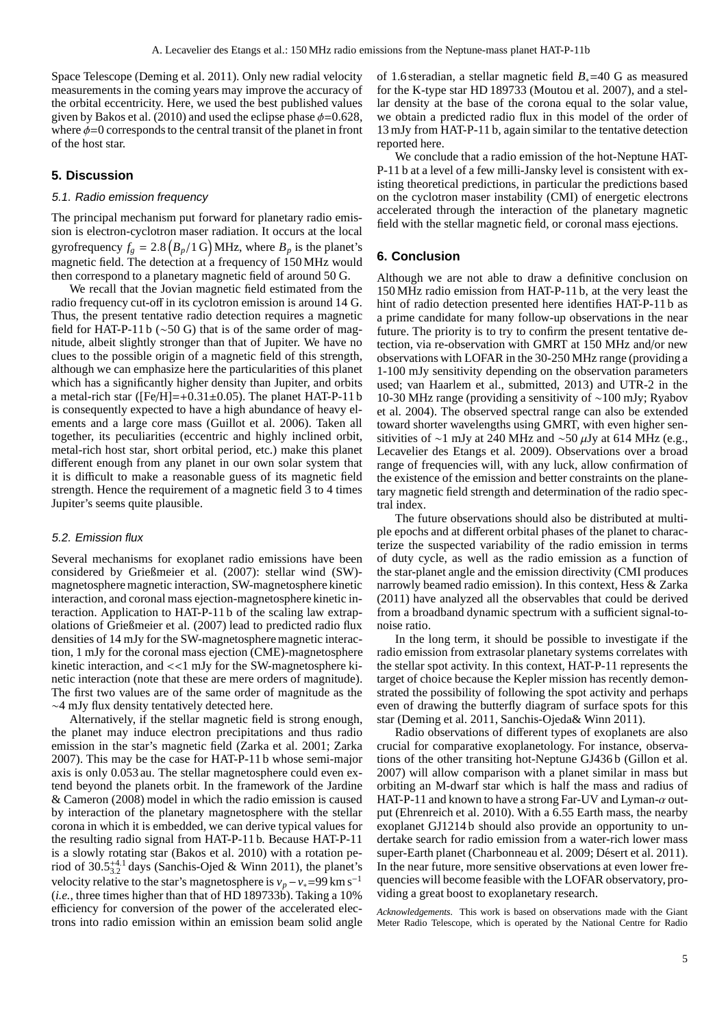Space Telescope (Deming et al. 2011). Only new radial velocity measurements in the coming years may improve the accuracy of the orbital eccentricity. Here, we used the best published values given by Bakos et al. (2010) and used the eclipse phase  $\phi$ =0.628, where  $\phi = 0$  corresponds to the central transit of the planet in front of the host star.

## **5. Discussion**

#### 5.1. Radio emission frequency

The principal mechanism put forward for planetary radio emission is electron-cyclotron maser radiation. It occurs at the local gyrofrequency  $f_g = 2.8 (B_p/1 G)$  MHz, where  $B_p$  is the planet's magnetic field. The detection at a frequency of 150 MHz would then correspond to a planetary magnetic field of around 50 G.

We recall that the Jovian magnetic field estimated from the radio frequency cut-off in its cyclotron emission is around 14 G. Thus, the present tentative radio detection requires a magnetic field for HAT-P-11 b (∼50 G) that is of the same order of magnitude, albeit slightly stronger than that of Jupiter. We have no clues to the possible origin of a magnetic field of this strength, although we can emphasize here the particularities of this planet which has a significantly higher density than Jupiter, and orbits a metal-rich star ( $[Fe/H]=+0.31\pm0.05$ ). The planet HAT-P-11 b is consequently expected to have a high abundance of heavy elements and a large core mass (Guillot et al. 2006). Taken all together, its peculiarities (eccentric and highly inclined orbit, metal-rich host star, short orbital period, etc.) make this planet different enough from any planet in our own solar system that it is difficult to make a reasonable guess of its magnetic field strength. Hence the requirement of a magnetic field 3 to 4 times Jupiter's seems quite plausible.

### 5.2. Emission flux

Several mechanisms for exoplanet radio emissions have been considered by Grießmeier et al. (2007): stellar wind (SW) magnetosphere magnetic interaction, SW-magnetosphere kinetic interaction, and coronal mass ejection-magnetosphere kinetic interaction. Application to HAT-P-11 b of the scaling law extrapolations of Grießmeier et al. (2007) lead to predicted radio flux densities of 14 mJy for the SW-magnetosphere magnetic interaction, 1 mJy for the coronal mass ejection (CME)-magnetosphere kinetic interaction, and <<1 mJy for the SW-magnetosphere kinetic interaction (note that these are mere orders of magnitude). The first two values are of the same order of magnitude as the ∼4 mJy flux density tentatively detected here.

Alternatively, if the stellar magnetic field is strong enough, the planet may induce electron precipitations and thus radio emission in the star's magnetic field (Zarka et al. 2001; Zarka 2007). This may be the case for HAT-P-11 b whose semi-major axis is only 0.053 au. The stellar magnetosphere could even extend beyond the planets orbit. In the framework of the Jardine & Cameron (2008) model in which the radio emission is caused by interaction of the planetary magnetosphere with the stellar corona in which it is embedded, we can derive typical values for the resulting radio signal from HAT-P-11 b. Because HAT-P-11 is a slowly rotating star (Bakos et al. 2010) with a rotation period of  $30.5_{3.2}^{+4.1}$  days (Sanchis-Ojed & Winn 2011), the planet's velocity relative to the star's magnetosphere is  $v_p - v_* = 99 \text{ km s}^{-1}$ (*i.e.*, three times higher than that of HD 189733b). Taking a 10% efficiency for conversion of the power of the accelerated electrons into radio emission within an emission beam solid angle of 1.6 steradian, a stellar magnetic field *B*∗=40 G as measured for the K-type star HD 189733 (Moutou et al. 2007), and a stellar density at the base of the corona equal to the solar value, we obtain a predicted radio flux in this model of the order of 13 mJy from HAT-P-11 b, again similar to the tentative detection reported here.

We conclude that a radio emission of the hot-Neptune HAT-P-11 b at a level of a few milli-Jansky level is consistent with existing theoretical predictions, in particular the predictions based on the cyclotron maser instability (CMI) of energetic electrons accelerated through the interaction of the planetary magnetic field with the stellar magnetic field, or coronal mass ejections.

## **6. Conclusion**

Although we are not able to draw a definitive conclusion on 150 MHz radio emission from HAT-P-11 b, at the very least the hint of radio detection presented here identifies HAT-P-11 b as a prime candidate for many follow-up observations in the near future. The priority is to try to confirm the present tentative detection, via re-observation with GMRT at 150 MHz and/or new observations with LOFAR in the 30-250 MHz range (providing a 1-100 mJy sensitivity depending on the observation parameters used; van Haarlem et al., submitted, 2013) and UTR-2 in the 10-30 MHz range (providing a sensitivity of ∼100 mJy; Ryabov et al. 2004). The observed spectral range can also be extended toward shorter wavelengths using GMRT, with even higher sensitivities of ∼1 mJy at 240 MHz and ~50  $\mu$ Jy at 614 MHz (e.g., Lecavelier des Etangs et al. 2009). Observations over a broad range of frequencies will, with any luck, allow confirmation of the existence of the emission and better constraints on the planetary magnetic field strength and determination of the radio spectral index.

The future observations should also be distributed at multiple epochs and at different orbital phases of the planet to characterize the suspected variability of the radio emission in terms of duty cycle, as well as the radio emission as a function of the star-planet angle and the emission directivity (CMI produces narrowly beamed radio emission). In this context, Hess & Zarka (2011) have analyzed all the observables that could be derived from a broadband dynamic spectrum with a sufficient signal-tonoise ratio.

In the long term, it should be possible to investigate if the radio emission from extrasolar planetary systems correlates with the stellar spot activity. In this context, HAT-P-11 represents the target of choice because the Kepler mission has recently demonstrated the possibility of following the spot activity and perhaps even of drawing the butterfly diagram of surface spots for this star (Deming et al. 2011, Sanchis-Ojeda& Winn 2011).

Radio observations of different types of exoplanets are also crucial for comparative exoplanetology. For instance, observations of the other transiting hot-Neptune GJ436 b (Gillon et al. 2007) will allow comparison with a planet similar in mass but orbiting an M-dwarf star which is half the mass and radius of HAT-P-11 and known to have a strong Far-UV and Lyman- $\alpha$  output (Ehrenreich et al. 2010). With a 6.55 Earth mass, the nearby exoplanet GJ1214 b should also provide an opportunity to undertake search for radio emission from a water-rich lower mass super-Earth planet (Charbonneau et al. 2009; Désert et al. 2011). In the near future, more sensitive observations at even lower frequencies will become feasible with the LOFAR observatory, providing a great boost to exoplanetary research.

*Acknowledgements.* This work is based on observations made with the Giant Meter Radio Telescope, which is operated by the National Centre for Radio